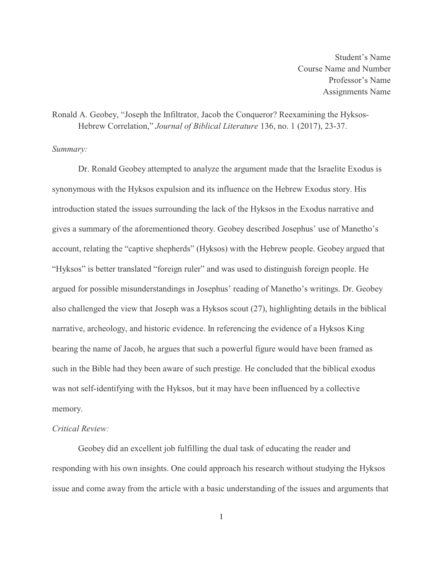Student's Name Course Name and Number Professor's Name Assignments Name

# Ronald A. Geobey, "Joseph the Infiltrator, Jacob the Conqueror? Reexamining the Hyksos-Hebrew Correlation," *Journal of Biblical Literature* 136, no. 1 (2017), 23-37.

#### *Summary:*

Dr. Ronald Geobey attempted to analyze the argument made that the Israelite Exodus is synonymous with the Hyksos expulsion and its influence on the Hebrew Exodus story. His introduction stated the issues surrounding the lack of the Hyksos in the Exodus narrative and gives a summary of the aforementioned theory. Geobey described Josephus' use of Manetho's account, relating the "captive shepherds" (Hyksos) with the Hebrew people. Geobey argued that "Hyksos" is better translated "foreign ruler" and was used to distinguish foreign people. He argued for possible misunderstandings in Josephus' reading of Manetho's writings. Dr. Geobey also challenged the view that Joseph was a Hyksos scout (27), highlighting details in the biblical narrative, archeology, and historic evidence. In referencing the evidence of a Hyksos King bearing the name of Jacob, he argues that such a powerful figure would have been framed as such in the Bible had they been aware of such prestige. He concluded that the biblical exodus was not self-identifying with the Hyksos, but it may have been influenced by a collective memory.

### *Critical Review:*

Geobey did an excellent job fulfilling the dual task of educating the reader and responding with his own insights. One could approach his research without studying the Hyksos issue and come away from the article with a basic understanding of the issues and arguments that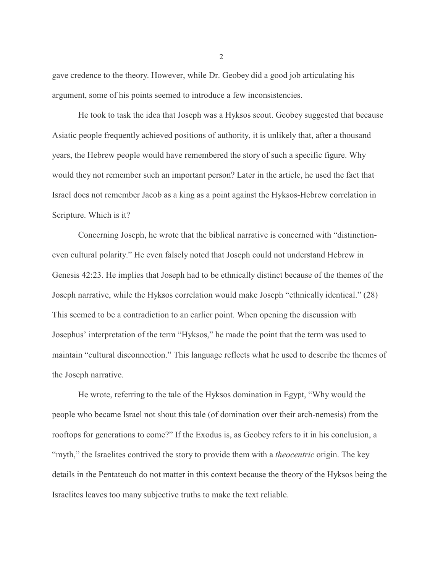gave credence to the theory. However, while Dr. Geobey did a good job articulating his argument, some of his points seemed to introduce a few inconsistencies.

He took to task the idea that Joseph was a Hyksos scout. Geobey suggested that because Asiatic people frequently achieved positions of authority, it is unlikely that, after a thousand years, the Hebrew people would have remembered the story of such a specific figure. Why would they not remember such an important person? Later in the article, he used the fact that Israel does not remember Jacob as a king as a point against the Hyksos-Hebrew correlation in Scripture. Which is it?

Concerning Joseph, he wrote that the biblical narrative is concerned with "distinctioneven cultural polarity." He even falsely noted that Joseph could not understand Hebrew in Genesis 42:23. He implies that Joseph had to be ethnically distinct because of the themes of the Joseph narrative, while the Hyksos correlation would make Joseph "ethnically identical." (28) This seemed to be a contradiction to an earlier point. When opening the discussion with Josephus' interpretation of the term "Hyksos," he made the point that the term was used to maintain "cultural disconnection." This language reflects what he used to describe the themes of the Joseph narrative.

He wrote, referring to the tale of the Hyksos domination in Egypt, "Why would the people who became Israel not shout this tale (of domination over their arch-nemesis) from the rooftops for generations to come?" If the Exodus is, as Geobey refers to it in his conclusion, a "myth," the Israelites contrived the story to provide them with a *theocentric* origin. The key details in the Pentateuch do not matter in this context because the theory of the Hyksos being the Israelites leaves too many subjective truths to make the text reliable.

2